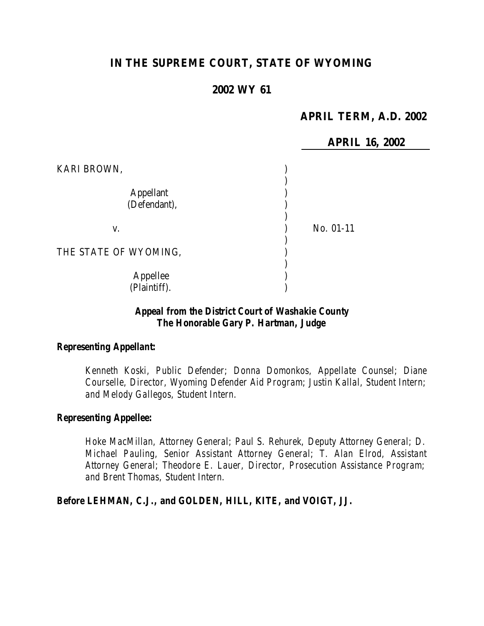# **IN THE SUPREME COURT, STATE OF WYOMING**

# **2002 WY 61**

# **APRIL TERM, A.D. 2002**

|                                  | <b>APRIL 16, 2002</b> |
|----------------------------------|-----------------------|
| KARI BROWN,                      |                       |
| <b>Appellant</b><br>(Defendant), |                       |
| V.                               | No. 01-11             |
| THE STATE OF WYOMING,            |                       |
| Appellee<br>(Plaintiff).         |                       |

### *Appeal from the District Court of Washakie County The Honorable Gary P. Hartman, Judge*

#### *Representing Appellant:*

*Kenneth Koski, Public Defender; Donna Domonkos, Appellate Counsel; Diane Courselle, Director, Wyoming Defender Aid Program; Justin Kallal, Student Intern; and Melody Gallegos, Student Intern.*

#### *Representing Appellee:*

*Hoke MacMillan, Attorney General; Paul S. Rehurek, Deputy Attorney General; D. Michael Pauling, Senior Assistant Attorney General; T. Alan Elrod, Assistant Attorney General; Theodore E. Lauer, Director, Prosecution Assistance Program; and Brent Thomas, Student Intern.*

*Before LEHMAN, C.J., and GOLDEN, HILL, KITE, and VOIGT, JJ.*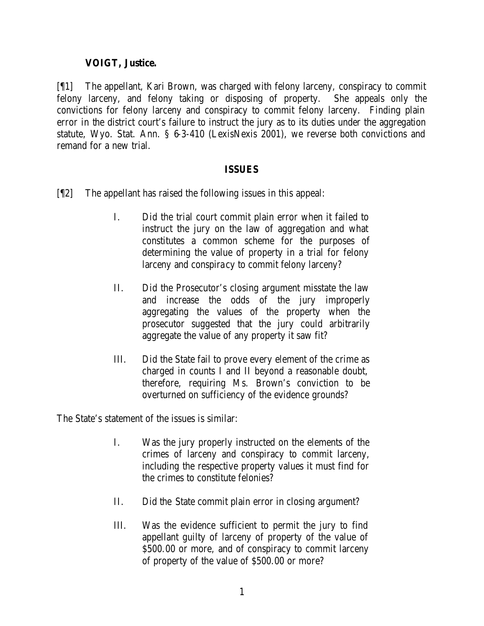## **VOIGT, Justice.**

[¶1] The appellant, Kari Brown, was charged with felony larceny, conspiracy to commit felony larceny, and felony taking or disposing of property. She appeals only the convictions for felony larceny and conspiracy to commit felony larceny. Finding plain error in the district court's failure to instruct the jury as to its duties under the aggregation statute, Wyo. Stat. Ann. § 6-3-410 (LexisNexis 2001), we reverse both convictions and remand for a new trial.

#### **ISSUES**

- [¶2] The appellant has raised the following issues in this appeal:
	- I. Did the trial court commit plain error when it failed to instruct the jury on the law of aggregation and what constitutes a common scheme for the purposes of determining the value of property in a trial for felony larceny and conspiracy to commit felony larceny?
	- II. Did the Prosecutor's closing argument misstate the law and increase the odds of the jury improperly aggregating the values of the property when the prosecutor suggested that the jury could arbitrarily aggregate the value of any property it saw fit?
	- III. Did the State fail to prove every element of the crime as charged in counts I and II beyond a reasonable doubt, therefore, requiring Ms. Brown's conviction to be overturned on sufficiency of the evidence grounds?

The State's statement of the issues is similar:

- I. Was the jury properly instructed on the elements of the crimes of larceny and conspiracy to commit larceny, including the respective property values it must find for the crimes to constitute felonies?
- II. Did the State commit plain error in closing argument?
- III. Was the evidence sufficient to permit the jury to find appellant guilty of larceny of property of the value of \$500.00 or more, and of conspiracy to commit larceny of property of the value of \$500.00 or more?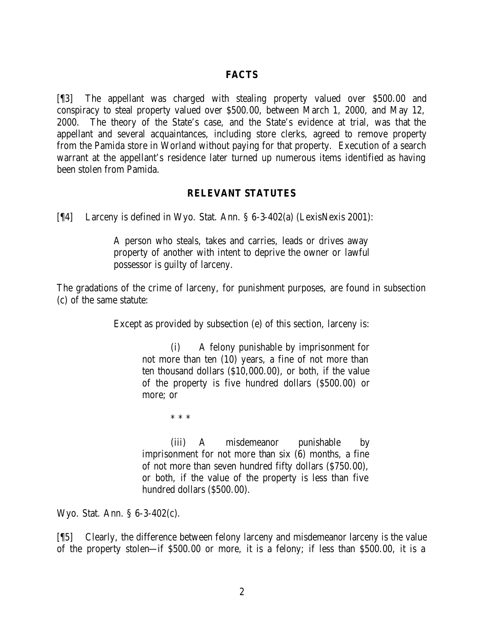#### **FACTS**

[¶3] The appellant was charged with stealing property valued over \$500.00 and conspiracy to steal property valued over \$500.00, between March 1, 2000, and May 12, 2000. The theory of the State's case, and the State's evidence at trial, was that the appellant and several acquaintances, including store clerks, agreed to remove property from the Pamida store in Worland without paying for that property. Execution of a search warrant at the appellant's residence later turned up numerous items identified as having been stolen from Pamida.

#### **RELEVANT STATUTES**

[¶4] Larceny is defined in Wyo. Stat. Ann. § 6-3-402(a) (LexisNexis 2001):

A person who steals, takes and carries, leads or drives away property of another with intent to deprive the owner or lawful possessor is guilty of larceny.

The gradations of the crime of larceny, for punishment purposes, are found in subsection (c) of the same statute:

Except as provided by subsection (e) of this section, larceny is:

(i) A felony punishable by imprisonment for not more than ten (10) years, a fine of not more than ten thousand dollars (\$10,000.00), or both, if the value of the property is five hundred dollars (\$500.00) or more; or

\* \* \*

(iii) A misdemeanor punishable by imprisonment for not more than six (6) months, a fine of not more than seven hundred fifty dollars (\$750.00), or both, if the value of the property is less than five hundred dollars (\$500.00).

Wyo. Stat. Ann. § 6-3-402(c).

[¶5] Clearly, the difference between felony larceny and misdemeanor larceny is the value of the property stolen—if \$500.00 or more, it is a felony; if less than \$500.00, it is a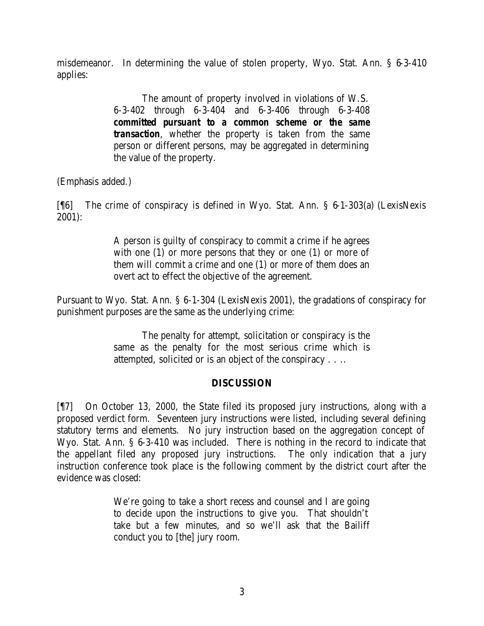misdemeanor. In determining the value of stolen property, Wyo. Stat. Ann. § 6-3-410 applies:

> The amount of property involved in violations of W.S. 6-3-402 through 6-3-404 and 6-3-406 through 6-3-408 *committed pursuant to a common scheme or the same transaction*, whether the property is taken from the same person or different persons, may be aggregated in determining the value of the property.

(Emphasis added.)

[¶6] The crime of conspiracy is defined in Wyo. Stat. Ann. § 6-1-303(a) (LexisNexis 2001):

> A person is guilty of conspiracy to commit a crime if he agrees with one (1) or more persons that they or one (1) or more of them will commit a crime and one (1) or more of them does an overt act to effect the objective of the agreement.

Pursuant to Wyo. Stat. Ann. § 6-1-304 (LexisNexis 2001), the gradations of conspiracy for punishment purposes are the same as the underlying crime:

> The penalty for attempt, solicitation or conspiracy is the same as the penalty for the most serious crime which is attempted, solicited or is an object of the conspiracy . . ..

# **DISCUSSION**

[¶7] On October 13, 2000, the State filed its proposed jury instructions, along with a proposed verdict form. Seventeen jury instructions were listed, including several defining statutory terms and elements. No jury instruction based on the aggregation concept of Wyo. Stat. Ann. § 6-3-410 was included. There is nothing in the record to indicate that the appellant filed any proposed jury instructions. The only indication that a jury instruction conference took place is the following comment by the district court after the evidence was closed:

> We're going to take a short recess and counsel and I are going to decide upon the instructions to give you. That shouldn't take but a few minutes, and so we'll ask that the Bailiff conduct you to [the] jury room.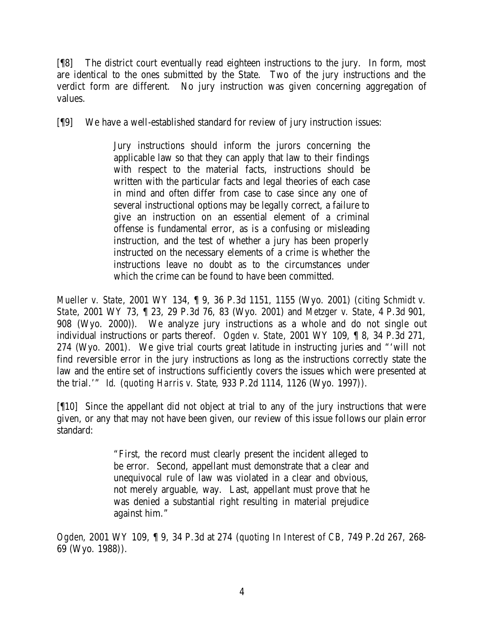[¶8] The district court eventually read eighteen instructions to the jury. In form, most are identical to the ones submitted by the State. Two of the jury instructions and the verdict form are different. No jury instruction was given concerning aggregation of values.

[¶9] We have a well-established standard for review of jury instruction issues:

Jury instructions should inform the jurors concerning the applicable law so that they can apply that law to their findings with respect to the material facts, instructions should be written with the particular facts and legal theories of each case in mind and often differ from case to case since any one of several instructional options may be legally correct, a failure to give an instruction on an essential element of a criminal offense is fundamental error, as is a confusing or misleading instruction, and the test of whether a jury has been properly instructed on the necessary elements of a crime is whether the instructions leave no doubt as to the circumstances under which the crime can be found to have been committed.

*Mueller v. State*, 2001 WY 134, ¶ 9, 36 P.3d 1151, 1155 (Wyo. 2001) (*citing Schmidt v. State*, 2001 WY 73, ¶ 23, 29 P.3d 76, 83 (Wyo. 2001) and *Metzger v. State*, 4 P.3d 901, 908 (Wyo. 2000)). We analyze jury instructions as a whole and do not single out individual instructions or parts thereof. *Ogden v. State*, 2001 WY 109, ¶ 8, 34 P.3d 271, 274 (Wyo. 2001). We give trial courts great latitude in instructing juries and "'will not find reversible error in the jury instructions as long as the instructions correctly state the law and the entire set of instructions sufficiently covers the issues which were presented at the trial.'" *Id.* (*quoting Harris v. State*, 933 P.2d 1114, 1126 (Wyo. 1997)).

[¶10] Since the appellant did not object at trial to any of the jury instructions that were given, or any that may not have been given, our review of this issue follows our plain error standard:

> "First, the record must clearly present the incident alleged to be error. Second, appellant must demonstrate that a clear and unequivocal rule of law was violated in a clear and obvious, not merely arguable, way. Last, appellant must prove that he was denied a substantial right resulting in material prejudice against him."

*Ogden*, 2001 WY 109, ¶ 9, 34 P.3d at 274 (*quoting In Interest of CB*, 749 P.2d 267, 268- 69 (Wyo. 1988)).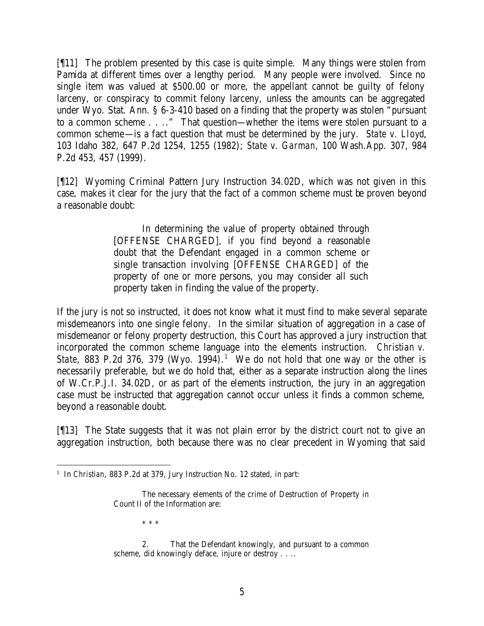[¶11] The problem presented by this case is quite simple. Many things were stolen from Pamida at different times over a lengthy period. Many people were involved. Since no single item was valued at \$500.00 or more, the appellant cannot be guilty of felony larceny, or conspiracy to commit felony larceny, unless the amounts can be aggregated under Wyo. Stat. Ann. § 6-3-410 based on a finding that the property was stolen "pursuant to a common scheme . . .." That question—whether the items were stolen pursuant to a common scheme—is a fact question that must be determined by the jury. *State v. Lloyd*, 103 Idaho 382, 647 P.2d 1254, 1255 (1982); *State v. Garman*, 100 Wash.App. 307, 984 P.2d 453, 457 (1999).

[¶12] Wyoming Criminal Pattern Jury Instruction 34.02D, which was not given in this case, makes it clear for the jury that the fact of a common scheme must be proven beyond a reasonable doubt:

> In determining the value of property obtained through [OFFENSE CHARGED], if you find beyond a reasonable doubt that the Defendant engaged in a common scheme or single transaction involving [OFFENSE CHARGED] of the property of one or more persons, you may consider all such property taken in finding the value of the property.

If the jury is not so instructed, it does not know what it must find to make several separate misdemeanors into one single felony. In the similar situation of aggregation in a case of misdemeanor or felony property destruction, this Court has approved a jury instruction that incorporated the common scheme language into the elements instruction. *Christian v. State*, 883 P.2d 376, 379 (Wyo. 1994).<sup>1</sup> We do not hold that one way or the other is necessarily preferable, but we do hold that, either as a separate instruction along the lines of W.Cr.P.J.I. 34.02D, or as part of the elements instruction, the jury in an aggregation case must be instructed that aggregation cannot occur unless it finds a common scheme, beyond a reasonable doubt.

[¶13] The State suggests that it was not plain error by the district court not to give an aggregation instruction, both because there was no clear precedent in Wyoming that said

\* \* \*

<sup>&</sup>lt;sup>1</sup> In *Christian*, 883 P.2d at 379, Jury Instruction No. 12 stated, in part:

The necessary elements of the crime of Destruction of Property in Count II of the Information are:

<sup>2.</sup> That the Defendant knowingly, and pursuant to a common scheme, did knowingly deface, injure or destroy . . ..